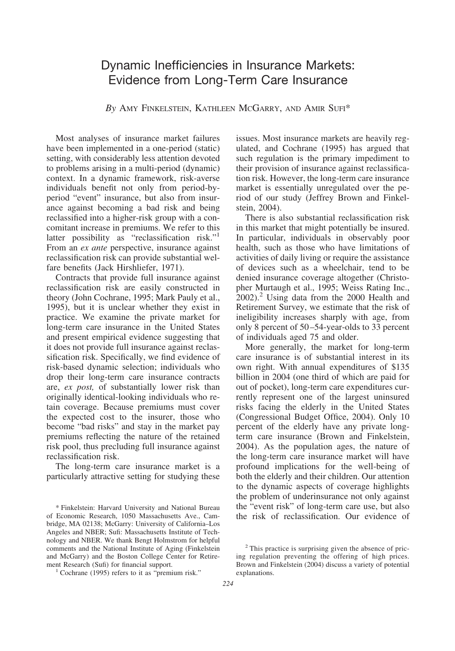# Dynamic Inefficiencies in Insurance Markets: Evidence from Long-Term Care Insurance

## *By* AMY FINKELSTEIN, KATHLEEN MCGARRY, AND AMIR SUFI\*

Most analyses of insurance market failures have been implemented in a one-period (static) setting, with considerably less attention devoted to problems arising in a multi-period (dynamic) context. In a dynamic framework, risk-averse individuals benefit not only from period-byperiod "event" insurance, but also from insurance against becoming a bad risk and being reclassified into a higher-risk group with a concomitant increase in premiums. We refer to this latter possibility as "reclassification risk."<sup>1</sup> From an *ex ante* perspective, insurance against reclassification risk can provide substantial welfare benefits (Jack Hirshliefer, 1971).

Contracts that provide full insurance against reclassification risk are easily constructed in theory (John Cochrane, 1995; Mark Pauly et al., 1995), but it is unclear whether they exist in practice. We examine the private market for long-term care insurance in the United States and present empirical evidence suggesting that it does not provide full insurance against reclassification risk. Specifically, we find evidence of risk-based dynamic selection; individuals who drop their long-term care insurance contracts are, *ex post,* of substantially lower risk than originally identical-looking individuals who retain coverage. Because premiums must cover the expected cost to the insurer, those who become "bad risks" and stay in the market pay premiums reflecting the nature of the retained risk pool, thus precluding full insurance against reclassification risk.

The long-term care insurance market is a particularly attractive setting for studying these

issues. Most insurance markets are heavily regulated, and Cochrane (1995) has argued that such regulation is the primary impediment to their provision of insurance against reclassification risk. However, the long-term care insurance market is essentially unregulated over the period of our study (Jeffrey Brown and Finkelstein, 2004).

There is also substantial reclassification risk in this market that might potentially be insured. In particular, individuals in observably poor health, such as those who have limitations of activities of daily living or require the assistance of devices such as a wheelchair, tend to be denied insurance coverage altogether (Christopher Murtaugh et al., 1995; Weiss Rating Inc.,  $2002$ ).<sup>2</sup> Using data from the 2000 Health and Retirement Survey, we estimate that the risk of ineligibility increases sharply with age, from only 8 percent of 50 –54-year-olds to 33 percent of individuals aged 75 and older.

More generally, the market for long-term care insurance is of substantial interest in its own right. With annual expenditures of \$135 billion in 2004 (one third of which are paid for out of pocket), long-term care expenditures currently represent one of the largest uninsured risks facing the elderly in the United States (Congressional Budget Office, 2004). Only 10 percent of the elderly have any private longterm care insurance (Brown and Finkelstein, 2004). As the population ages, the nature of the long-term care insurance market will have profound implications for the well-being of both the elderly and their children. Our attention to the dynamic aspects of coverage highlights the problem of underinsurance not only against the "event risk" of long-term care use, but also the risk of reclassification. Our evidence of

<sup>\*</sup> Finkelstein: Harvard University and National Bureau of Economic Research, 1050 Massachusetts Ave., Cambridge, MA 02138; McGarry: University of California–Los Angeles and NBER; Sufi: Massachusetts Institute of Technology and NBER. We thank Bengt Holmstrom for helpful comments and the National Institute of Aging (Finkelstein and McGarry) and the Boston College Center for Retirement Research (Sufi) for financial support.<br><sup>1</sup> Cochrane (1995) refers to it as "premium risk."

<sup>2</sup> This practice is surprising given the absence of pricing regulation preventing the offering of high prices. Brown and Finkelstein (2004) discuss a variety of potential explanations.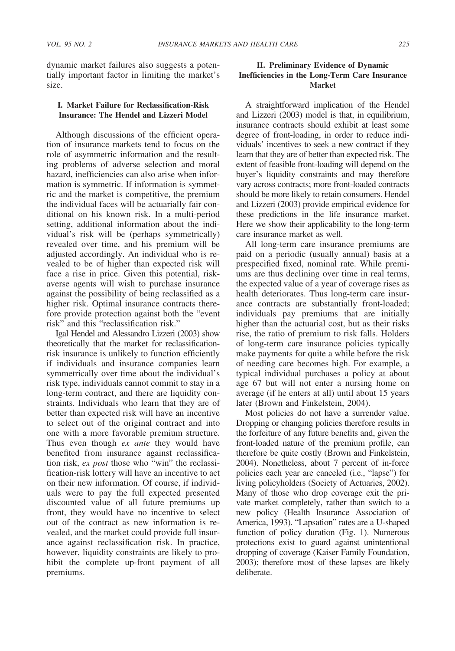dynamic market failures also suggests a potentially important factor in limiting the market's size.

#### **I. Market Failure for Reclassification-Risk Insurance: The Hendel and Lizzeri Model**

Although discussions of the efficient operation of insurance markets tend to focus on the role of asymmetric information and the resulting problems of adverse selection and moral hazard, inefficiencies can also arise when information is symmetric. If information is symmetric and the market is competitive, the premium the individual faces will be actuarially fair conditional on his known risk. In a multi-period setting, additional information about the individual's risk will be (perhaps symmetrically) revealed over time, and his premium will be adjusted accordingly. An individual who is revealed to be of higher than expected risk will face a rise in price. Given this potential, riskaverse agents will wish to purchase insurance against the possibility of being reclassified as a higher risk. Optimal insurance contracts therefore provide protection against both the "event risk" and this "reclassification risk."

Igal Hendel and Alessandro Lizzeri (2003) show theoretically that the market for reclassificationrisk insurance is unlikely to function efficiently if individuals and insurance companies learn symmetrically over time about the individual's risk type, individuals cannot commit to stay in a long-term contract, and there are liquidity constraints. Individuals who learn that they are of better than expected risk will have an incentive to select out of the original contract and into one with a more favorable premium structure. Thus even though *ex ante* they would have benefited from insurance against reclassification risk, *ex post* those who "win" the reclassification-risk lottery will have an incentive to act on their new information. Of course, if individuals were to pay the full expected presented discounted value of all future premiums up front, they would have no incentive to select out of the contract as new information is revealed, and the market could provide full insurance against reclassification risk. In practice, however, liquidity constraints are likely to prohibit the complete up-front payment of all premiums.

# **II. Preliminary Evidence of Dynamic Inefficiencies in the Long-Term Care Insurance Market**

A straightforward implication of the Hendel and Lizzeri (2003) model is that, in equilibrium, insurance contracts should exhibit at least some degree of front-loading, in order to reduce individuals' incentives to seek a new contract if they learn that they are of better than expected risk. The extent of feasible front-loading will depend on the buyer's liquidity constraints and may therefore vary across contracts; more front-loaded contracts should be more likely to retain consumers. Hendel and Lizzeri (2003) provide empirical evidence for these predictions in the life insurance market. Here we show their applicability to the long-term care insurance market as well.

All long-term care insurance premiums are paid on a periodic (usually annual) basis at a prespecified fixed, nominal rate. While premiums are thus declining over time in real terms, the expected value of a year of coverage rises as health deteriorates. Thus long-term care insurance contracts are substantially front-loaded; individuals pay premiums that are initially higher than the actuarial cost, but as their risks rise, the ratio of premium to risk falls. Holders of long-term care insurance policies typically make payments for quite a while before the risk of needing care becomes high. For example, a typical individual purchases a policy at about age 67 but will not enter a nursing home on average (if he enters at all) until about 15 years later (Brown and Finkelstein, 2004).

Most policies do not have a surrender value. Dropping or changing policies therefore results in the forfeiture of any future benefits and, given the front-loaded nature of the premium profile, can therefore be quite costly (Brown and Finkelstein, 2004). Nonetheless, about 7 percent of in-force policies each year are canceled (i.e., "lapse") for living policyholders (Society of Actuaries, 2002). Many of those who drop coverage exit the private market completely, rather than switch to a new policy (Health Insurance Association of America, 1993). "Lapsation" rates are a U-shaped function of policy duration (Fig. 1). Numerous protections exist to guard against unintentional dropping of coverage (Kaiser Family Foundation, 2003); therefore most of these lapses are likely deliberate.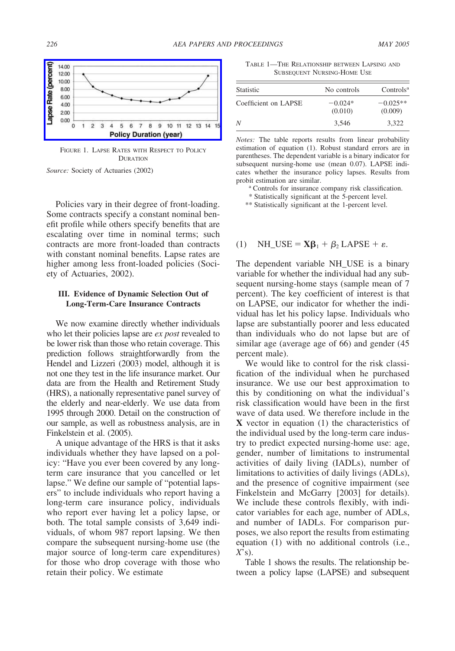

FIGURE 1. LAPSE RATES WITH RESPECT TO POLICY **DURATION** 

*Source:* Society of Actuaries (2002)

Policies vary in their degree of front-loading. Some contracts specify a constant nominal benefit profile while others specify benefits that are escalating over time in nominal terms; such contracts are more front-loaded than contracts with constant nominal benefits. Lapse rates are higher among less front-loaded policies (Society of Actuaries, 2002).

#### **III. Evidence of Dynamic Selection Out of Long-Term-Care Insurance Contracts**

We now examine directly whether individuals who let their policies lapse are *ex post* revealed to be lower risk than those who retain coverage. This prediction follows straightforwardly from the Hendel and Lizzeri (2003) model, although it is not one they test in the life insurance market. Our data are from the Health and Retirement Study (HRS), a nationally representative panel survey of the elderly and near-elderly. We use data from 1995 through 2000. Detail on the construction of our sample, as well as robustness analysis, are in Finkelstein et al. (2005).

A unique advantage of the HRS is that it asks individuals whether they have lapsed on a policy: "Have you ever been covered by any longterm care insurance that you cancelled or let lapse." We define our sample of "potential lapsers" to include individuals who report having a long-term care insurance policy, individuals who report ever having let a policy lapse, or both. The total sample consists of 3,649 individuals, of whom 987 report lapsing. We then compare the subsequent nursing-home use (the major source of long-term care expenditures) for those who drop coverage with those who retain their policy. We estimate

TABLE 1—THE RELATIONSHIP BETWEEN LAPSING AND SUBSEQUENT NURSING-HOME USE

| Statistic            | No controls          | Controls <sup>a</sup> |
|----------------------|----------------------|-----------------------|
| Coefficient on LAPSE | $-0.024*$<br>(0.010) | $-0.025**$<br>(0.009) |
| N                    | 3.546                | 3.322                 |

*Notes:* The table reports results from linear probability estimation of equation (1). Robust standard errors are in parentheses. The dependent variable is a binary indicator for subsequent nursing-home use (mean 0.07). LAPSE indicates whether the insurance policy lapses. Results from probit estimation are similar.<br><sup>a</sup> Controls for insurance company risk classification.

\* Statistically significant at the 5-percent level.

\*\* Statistically significant at the 1-percent level.

# (1)  $NH\_USE = X\beta_1 + \beta_2$  LAPSE +  $\varepsilon$ .

The dependent variable NH\_USE is a binary variable for whether the individual had any subsequent nursing-home stays (sample mean of 7 percent). The key coefficient of interest is that on LAPSE, our indicator for whether the individual has let his policy lapse. Individuals who lapse are substantially poorer and less educated than individuals who do not lapse but are of similar age (average age of 66) and gender (45 percent male).

We would like to control for the risk classification of the individual when he purchased insurance. We use our best approximation to this by conditioning on what the individual's risk classification would have been in the first wave of data used. We therefore include in the **X** vector in equation (1) the characteristics of the individual used by the long-term care industry to predict expected nursing-home use: age, gender, number of limitations to instrumental activities of daily living (IADLs), number of limitations to activities of daily livings (ADLs), and the presence of cognitive impairment (see Finkelstein and McGarry [2003] for details). We include these controls flexibly, with indicator variables for each age, number of ADLs, and number of IADLs. For comparison purposes, we also report the results from estimating equation (1) with no additional controls (i.e., *X*'s).

Table 1 shows the results. The relationship between a policy lapse (LAPSE) and subsequent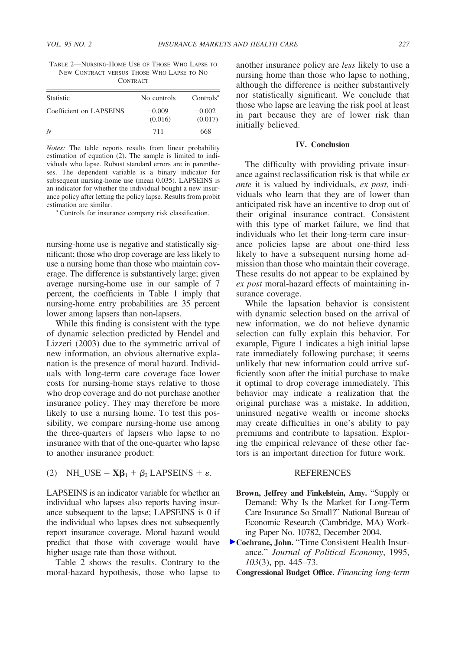TABLE 2—NURSING-HOME USE OF THOSE WHO LAPSE TO NEW CONTRACT VERSUS THOSE WHO LAPSE TO NO CONTRACT

| Statistic               | No controls         | Controls <sup>a</sup> |
|-------------------------|---------------------|-----------------------|
| Coefficient on LAPSEINS | $-0.009$<br>(0.016) | $-0.002$<br>(0.017)   |
| N                       | 711                 | 668                   |

*Notes:* The table reports results from linear probability estimation of equation (2). The sample is limited to individuals who lapse. Robust standard errors are in parentheses. The dependent variable is a binary indicator for subsequent nursing-home use (mean 0.035). LAPSEINS is an indicator for whether the individual bought a new insurance policy after letting the policy lapse. Results from probit

estimation are similar.<br>a Controls for insurance company risk classification.

nursing-home use is negative and statistically significant; those who drop coverage are less likely to use a nursing home than those who maintain coverage. The difference is substantively large; given average nursing-home use in our sample of 7 percent, the coefficients in Table 1 imply that nursing-home entry probabilities are 35 percent lower among lapsers than non-lapsers.

While this finding is consistent with the type of dynamic selection predicted by Hendel and Lizzeri (2003) due to the symmetric arrival of new information, an obvious alternative explanation is the presence of moral hazard. Individuals with long-term care coverage face lower costs for nursing-home stays relative to those who drop coverage and do not purchase another insurance policy. They may therefore be more likely to use a nursing home. To test this possibility, we compare nursing-home use among the three-quarters of lapsers who lapse to no insurance with that of the one-quarter who lapse to another insurance product:

# (2) NH\_USE =  $\mathbf{X}\boldsymbol{\beta}_1 + \boldsymbol{\beta}_2$  LAPSEINS +  $\varepsilon$ .

LAPSEINS is an indicator variable for whether an individual who lapses also reports having insurance subsequent to the lapse; LAPSEINS is 0 if the individual who lapses does not subsequently report insurance coverage. Moral hazard would predict that those with coverage would have higher usage rate than those without.

Table 2 shows the results. Contrary to the moral-hazard hypothesis, those who lapse to another insurance policy are *less* likely to use a nursing home than those who lapse to nothing, although the difference is neither substantively nor statistically significant. We conclude that those who lapse are leaving the risk pool at least in part because they are of lower risk than initially believed.

#### **IV. Conclusion**

The difficulty with providing private insurance against reclassification risk is that while *ex ante* it is valued by individuals, *ex post,* individuals who learn that they are of lower than anticipated risk have an incentive to drop out of their original insurance contract. Consistent with this type of market failure, we find that individuals who let their long-term care insurance policies lapse are about one-third less likely to have a subsequent nursing home admission than those who maintain their coverage. These results do not appear to be explained by *ex post* moral-hazard effects of maintaining insurance coverage.

While the lapsation behavior is consistent with dynamic selection based on the arrival of new information, we do not believe dynamic selection can fully explain this behavior. For example, Figure 1 indicates a high initial lapse rate immediately following purchase; it seems unlikely that new information could arrive sufficiently soon after the initial purchase to make it optimal to drop coverage immediately. This behavior may indicate a realization that the original purchase was a mistake. In addition, uninsured negative wealth or income shocks may create difficulties in one's ability to pay premiums and contribute to lapsation. Exploring the empirical relevance of these other factors is an important direction for future work.

#### REFERENCES

- **Brown, Jeffrey and Finkelstein, Amy.** "Supply or Demand: Why Is the Market for Long-Term Care Insurance So Small?" National Bureau of Economic Research (Cambridge, MA) Working Paper No. 10782, December 2004.
- **[C](https://pubs.aeaweb.org/action/showLinks?doi=10.1257%2F000282805774669808&crossref=10.1086%2F261991&citationId=p_2)ochrane, John.** "Time Consistent Health Insurance." *Journal of Political Economy*, 1995, *103*(3), pp. 445–73.
	- **Congressional Budget Office.** *Financing long-term*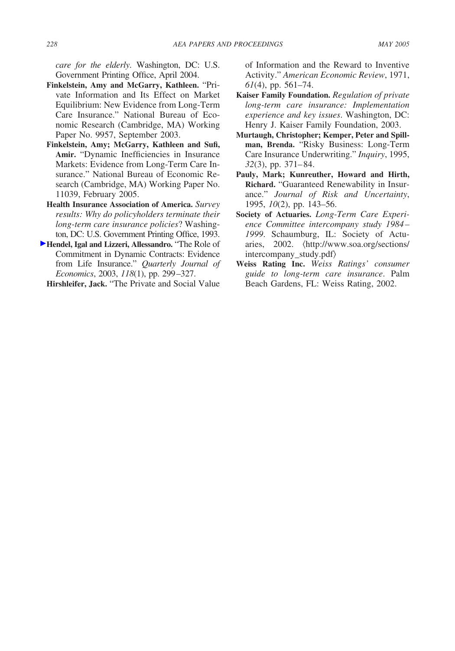*care for the elderly*. Washington, DC: U.S. Government Printing Office, April 2004.

- **Finkelstein, Amy and McGarry, Kathleen.** "Private Information and Its Effect on Market Equilibrium: New Evidence from Long-Term Care Insurance." National Bureau of Economic Research (Cambridge, MA) Working Paper No. 9957, September 2003.
- **Finkelstein, Amy; McGarry, Kathleen and Sufi, Amir.** "Dynamic Inefficiencies in Insurance Markets: Evidence from Long-Term Care Insurance." National Bureau of Economic Research (Cambridge, MA) Working Paper No. 11039, February 2005.
- **Health Insurance Association of America.** *Survey results: Why do policyholders terminate their long-term care insurance policies*? Washington, DC: U.S. Government Printing Office, 1993.
- **[H](https://pubs.aeaweb.org/action/showLinks?doi=10.1257%2F000282805774669808&crossref=10.1162%2F00335530360535216&citationId=p_7)endel, Igal and Lizzeri, Allessandro.** "The Role of Commitment in Dynamic Contracts: Evidence from Life Insurance." *Quarterly Journal of Economics*, 2003, *118*(1), pp. 299 –327.

**Hirshleifer, Jack.** "The Private and Social Value

of Information and the Reward to Inventive Activity." *American Economic Review*, 1971, *61*(4), pp. 561–74.

- **Kaiser Family Foundation.** *Regulation of private long-term care insurance: Implementation experience and key issues*. Washington, DC: Henry J. Kaiser Family Foundation, 2003.
- **Murtaugh, Christopher; Kemper, Peter and Spillman, Brenda.** "Risky Business: Long-Term Care Insurance Underwriting." *Inquiry*, 1995, *32*(3), pp. 371– 84.
- **Pauly, Mark; Kunreuther, Howard and Hirth, Richard.** "Guaranteed Renewability in Insurance." *Journal of Risk and Uncertainty*, 1995, *10*(2), pp. 143–56.
- **Society of Actuaries.** *Long-Term Care Experience Committee intercompany study 1984 – 1999*. Schaumburg, IL: Society of Actuaries, 2002. (http://www.soa.org/sections/ intercompany\_study.pdf
- **Weiss Rating Inc.** *Weiss Ratings' consumer guide to long-term care insurance*. Palm Beach Gardens, FL: Weiss Rating, 2002.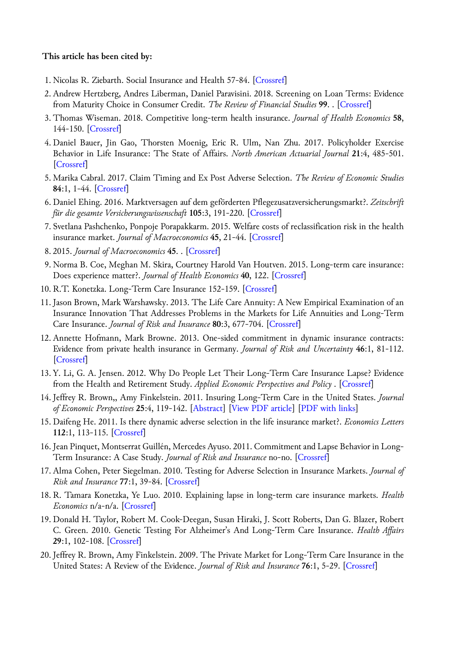### **This article has been cited by:**

- 1. Nicolas R. Ziebarth. Social Insurance and Health 57-84. [[Crossref\]](https://doi.org/10.1108/S0573-855520180000294003)
- 2. Andrew Hertzberg, Andres Liberman, Daniel Paravisini. 2018. Screening on Loan Terms: Evidence from Maturity Choice in Consumer Credit. *The Review of Financial Studies* **99**. . [[Crossref\]](https://doi.org/10.1093/rfs/hhy024)
- 3. Thomas Wiseman. 2018. Competitive long-term health insurance. *Journal of Health Economics* **58**, 144-150. [\[Crossref\]](https://doi.org/10.1016/j.jhealeco.2018.02.006)
- 4.Daniel Bauer, Jin Gao, Thorsten Moenig, Eric R. Ulm, Nan Zhu. 2017. Policyholder Exercise Behavior in Life Insurance: The State of Affairs. *North American Actuarial Journal* **21**:4, 485-501. [\[Crossref](https://doi.org/10.1080/10920277.2017.1314816)]
- 5. Marika Cabral. 2017. Claim Timing and Ex Post Adverse Selection. *The Review of Economic Studies* **84**:1, 1-44. [[Crossref\]](https://doi.org/10.1093/restud/rdw022)
- 6.Daniel Ehing. 2016. Marktversagen auf dem geförderten Pflegezusatzversicherungsmarkt?. *Zeitschrift für die gesamte Versicherungswissenschaft* **105**:3, 191-220. [\[Crossref](https://doi.org/10.1007/s12297-016-0338-x)]
- 7. Svetlana Pashchenko, Ponpoje Porapakkarm. 2015. Welfare costs of reclassification risk in the health insurance market. *Journal of Macroeconomics* **45**, 21-44. [\[Crossref](https://doi.org/10.1016/j.jmacro.2015.04.003)]
- 8. 2015. *Journal of Macroeconomics* **45**. . [[Crossref\]](https://doi.org/10.1016/j.jmacro.2015.04.002)
- 9. Norma B. Coe, Meghan M. Skira, Courtney Harold Van Houtven. 2015. Long-term care insurance: Does experience matter?. *Journal of Health Economics* **40**, 122. [\[Crossref](https://doi.org/10.1016/j.jhealeco.2015.01.001)]
- 10. R.T. Konetzka. Long-Term Care Insurance 152-159. [[Crossref\]](https://doi.org/10.1016/B978-0-12-375678-7.00921-4)
- 11. Jason Brown, Mark Warshawsky. 2013. The Life Care Annuity: A New Empirical Examination of an Insurance Innovation That Addresses Problems in the Markets for Life Annuities and Long-Term Care Insurance. *Journal of Risk and Insurance* **80**:3, 677-704. [\[Crossref](https://doi.org/10.1111/j.1539-6975.2013.12013.x)]
- 12. Annette Hofmann, Mark Browne. 2013. One-sided commitment in dynamic insurance contracts: Evidence from private health insurance in Germany. *Journal of Risk and Uncertainty* **46**:1, 81-112. [\[Crossref](https://doi.org/10.1007/s11166-012-9160-6)]
- 13. Y. Li, G. A. Jensen. 2012. Why Do People Let Their Long-Term Care Insurance Lapse? Evidence from the Health and Retirement Study. *Applied Economic Perspectives and Policy* . [[Crossref\]](https://doi.org/10.1093/aepp/pps017)
- 14. Jeffrey R. Brown,, Amy Finkelstein. 2011. Insuring Long-Term Care in the United States. *Journal of Economic Perspectives* **25**:4, 119-142. [[Abstract\]](https://doi.org/10.1257/jep.25.4.119) [[View PDF article\]](https://pubs.aeaweb.org/doi/pdf/10.1257/jep.25.4.119) [\[PDF with links\]](https://pubs.aeaweb.org/doi/pdfplus/10.1257/jep.25.4.119)
- 15.Daifeng He. 2011. Is there dynamic adverse selection in the life insurance market?. *Economics Letters* **112**:1, 113-115. [\[Crossref](https://doi.org/10.1016/j.econlet.2011.03.038)]
- 16. Jean Pinquet, Montserrat Guillén, Mercedes Ayuso. 2011. Commitment and Lapse Behavior in Long-Term Insurance: A Case Study. *Journal of Risk and Insurance* no-no. [[Crossref\]](https://doi.org/10.1111/j.1539-6975.2011.01420.x)
- 17. Alma Cohen, Peter Siegelman. 2010. Testing for Adverse Selection in Insurance Markets. *Journal of Risk and Insurance* **77**:1, 39-84. [\[Crossref](https://doi.org/10.1111/j.1539-6975.2009.01337.x)]
- 18. R. Tamara Konetzka, Ye Luo. 2010. Explaining lapse in long-term care insurance markets. *Health Economics* n/a-n/a. [[Crossref\]](https://doi.org/10.1002/hec.1661)
- 19.Donald H. Taylor, Robert M. Cook-Deegan, Susan Hiraki, J. Scott Roberts, Dan G. Blazer, Robert C. Green. 2010. Genetic Testing For Alzheimer's And Long-Term Care Insurance. *Health Affairs* **29**:1, 102-108. [[Crossref\]](https://doi.org/10.1377/hlthaff.2009.0525)
- 20. Jeffrey R. Brown, Amy Finkelstein. 2009. The Private Market for Long-Term Care Insurance in the United States: A Review of the Evidence. *Journal of Risk and Insurance* **76**:1, 5-29. [\[Crossref](https://doi.org/10.1111/j.1539-6975.2009.01286.x)]